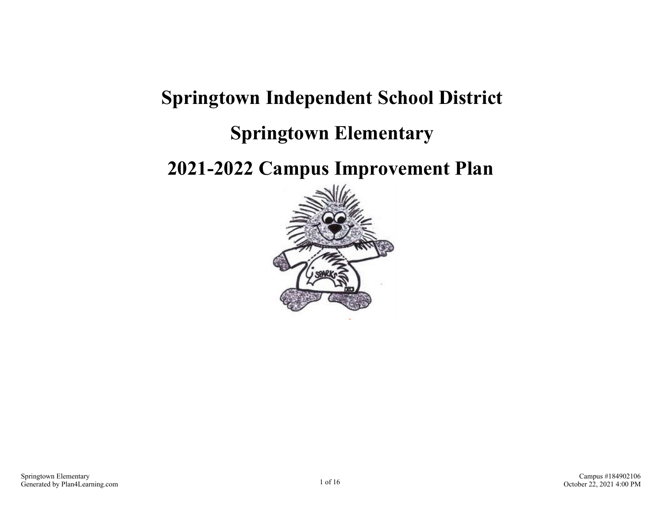# **Springtown Independent School District**

### **Springtown Elementary**

### **2021-2022 Campus Improvement Plan**

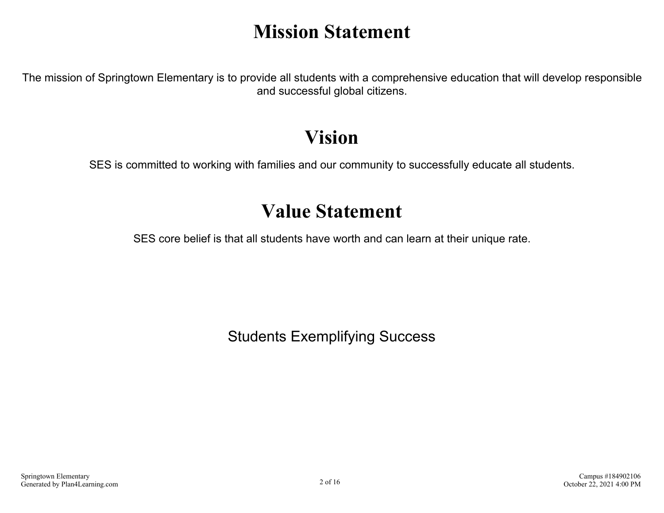## **Mission Statement**

The mission of Springtown Elementary is to provide all students with a comprehensive education that will develop responsible and successful global citizens.

### **Vision**

SES is committed to working with families and our community to successfully educate all students.

### **Value Statement**

SES core belief is that all students have worth and can learn at their unique rate.

Students Exemplifying Success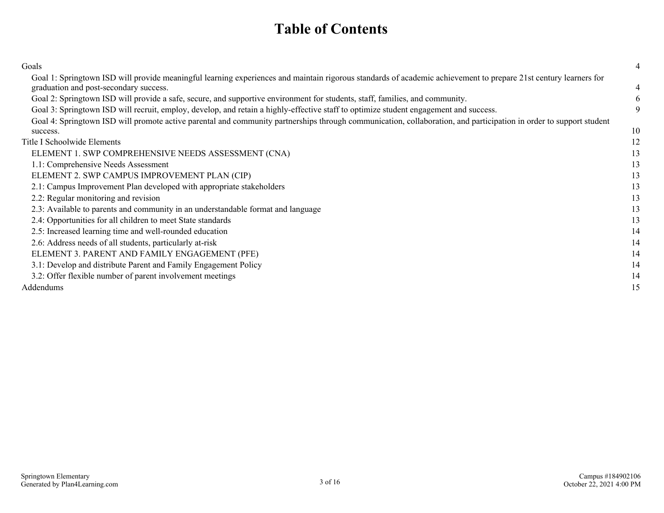### **Table of Contents**

| Goals                                                                                                                                                              | 4  |
|--------------------------------------------------------------------------------------------------------------------------------------------------------------------|----|
| Goal 1: Springtown ISD will provide meaningful learning experiences and maintain rigorous standards of academic achievement to prepare 21st century learners for   |    |
| graduation and post-secondary success.                                                                                                                             | 4  |
| Goal 2: Springtown ISD will provide a safe, secure, and supportive environment for students, staff, families, and community.                                       | 6  |
| Goal 3: Springtown ISD will recruit, employ, develop, and retain a highly-effective staff to optimize student engagement and success.                              | 9  |
| Goal 4: Springtown ISD will promote active parental and community partnerships through communication, collaboration, and participation in order to support student |    |
| success.                                                                                                                                                           | 10 |
| Title I Schoolwide Elements                                                                                                                                        | 12 |
| ELEMENT 1. SWP COMPREHENSIVE NEEDS ASSESSMENT (CNA)                                                                                                                | 13 |
| 1.1: Comprehensive Needs Assessment                                                                                                                                | 13 |
| ELEMENT 2. SWP CAMPUS IMPROVEMENT PLAN (CIP)                                                                                                                       | 13 |
| 2.1: Campus Improvement Plan developed with appropriate stakeholders                                                                                               | 13 |
| 2.2: Regular monitoring and revision                                                                                                                               | 13 |
| 2.3: Available to parents and community in an understandable format and language                                                                                   | 13 |
| 2.4: Opportunities for all children to meet State standards                                                                                                        | 13 |
| 2.5: Increased learning time and well-rounded education                                                                                                            | 14 |
| 2.6: Address needs of all students, particularly at-risk                                                                                                           | 14 |
| ELEMENT 3. PARENT AND FAMILY ENGAGEMENT (PFE)                                                                                                                      | 14 |
| 3.1: Develop and distribute Parent and Family Engagement Policy                                                                                                    | 14 |
| 3.2: Offer flexible number of parent involvement meetings                                                                                                          | 14 |
| Addendums                                                                                                                                                          | 15 |
|                                                                                                                                                                    |    |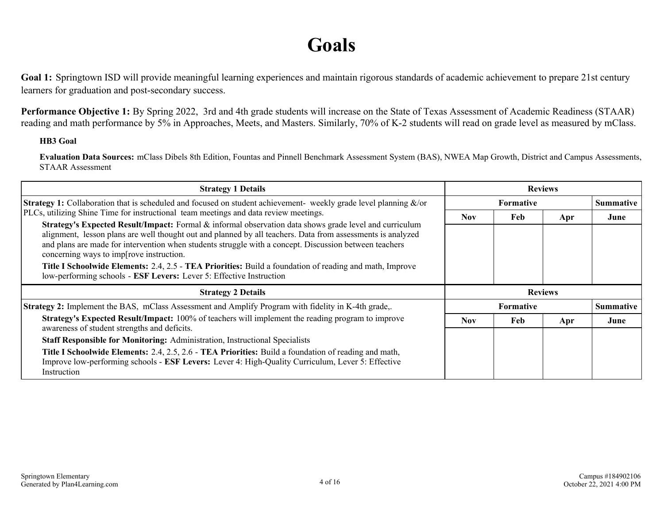### **Goals**

<span id="page-3-0"></span>Goal 1: Springtown ISD will provide meaningful learning experiences and maintain rigorous standards of academic achievement to prepare 21st century learners for graduation and post-secondary success.

**Performance Objective 1:** By Spring 2022, 3rd and 4th grade students will increase on the State of Texas Assessment of Academic Readiness (STAAR) reading and math performance by 5% in Approaches, Meets, and Masters. Similarly, 70% of K-2 students will read on grade level as measured by mClass.

#### **HB3 Goal**

**Evaluation Data Sources:** mClass Dibels 8th Edition, Fountas and Pinnell Benchmark Assessment System (BAS), NWEA Map Growth, District and Campus Assessments, STAAR Assessment

| <b>Strategy 1 Details</b>                                                                                                                                                                                                                                                                                                                                                                                                                                                                                                                                                                                                                                    | <b>Reviews</b> |                  |     |                  |
|--------------------------------------------------------------------------------------------------------------------------------------------------------------------------------------------------------------------------------------------------------------------------------------------------------------------------------------------------------------------------------------------------------------------------------------------------------------------------------------------------------------------------------------------------------------------------------------------------------------------------------------------------------------|----------------|------------------|-----|------------------|
| <b>Strategy 1:</b> Collaboration that is scheduled and focused on student achievement- weekly grade level planning $\&$ /or                                                                                                                                                                                                                                                                                                                                                                                                                                                                                                                                  |                | <b>Summative</b> |     |                  |
| PLCs, utilizing Shine Time for instructional team meetings and data review meetings.<br>Strategy's Expected Result/Impact: Formal & informal observation data shows grade level and curriculum<br>alignment, lesson plans are well thought out and planned by all teachers. Data from assessments is analyzed<br>and plans are made for intervention when students struggle with a concept. Discussion between teachers<br>concerning ways to imp[rove instruction.<br><b>Title I Schoolwide Elements: 2.4, 2.5 - TEA Priorities: Build a foundation of reading and math, Improve</b><br>low-performing schools - ESF Levers: Lever 5: Effective Instruction | <b>Nov</b>     | Feb              | Apr | June             |
| <b>Strategy 2 Details</b>                                                                                                                                                                                                                                                                                                                                                                                                                                                                                                                                                                                                                                    | <b>Reviews</b> |                  |     |                  |
| <b>Strategy 2:</b> Implement the BAS, mClass Assessment and Amplify Program with fidelity in K-4th grade,.                                                                                                                                                                                                                                                                                                                                                                                                                                                                                                                                                   |                | <b>Formative</b> |     | <b>Summative</b> |
| <b>Strategy's Expected Result/Impact:</b> 100% of teachers will implement the reading program to improve<br>awareness of student strengths and deficits.                                                                                                                                                                                                                                                                                                                                                                                                                                                                                                     | <b>Nov</b>     | Feb              | Apr | June             |
| <b>Staff Responsible for Monitoring: Administration, Instructional Specialists</b>                                                                                                                                                                                                                                                                                                                                                                                                                                                                                                                                                                           |                |                  |     |                  |
| Title I Schoolwide Elements: 2.4, 2.5, 2.6 - TEA Priorities: Build a foundation of reading and math,<br>Improve low-performing schools - <b>ESF Levers:</b> Lever 4: High-Quality Curriculum, Lever 5: Effective<br>Instruction                                                                                                                                                                                                                                                                                                                                                                                                                              |                |                  |     |                  |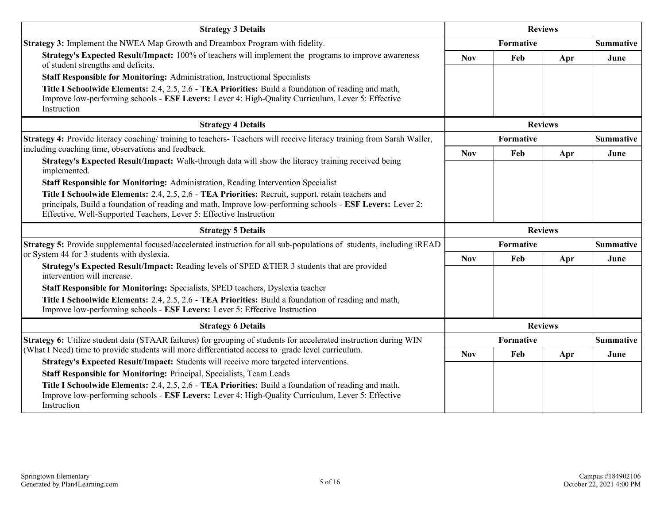| <b>Strategy 3 Details</b>                                                                                                                                                                                                                                                             | <b>Reviews</b>   |                  |                |                  |
|---------------------------------------------------------------------------------------------------------------------------------------------------------------------------------------------------------------------------------------------------------------------------------------|------------------|------------------|----------------|------------------|
| Strategy 3: Implement the NWEA Map Growth and Dreambox Program with fidelity.                                                                                                                                                                                                         | <b>Formative</b> |                  |                | <b>Summative</b> |
| Strategy's Expected Result/Impact: 100% of teachers will implement the programs to improve awareness<br>of student strengths and deficits.                                                                                                                                            | <b>Nov</b>       | Feb              | Apr            | June             |
| Staff Responsible for Monitoring: Administration, Instructional Specialists                                                                                                                                                                                                           |                  |                  |                |                  |
| Title I Schoolwide Elements: 2.4, 2.5, 2.6 - TEA Priorities: Build a foundation of reading and math,<br>Improve low-performing schools - ESF Levers: Lever 4: High-Quality Curriculum, Lever 5: Effective<br>Instruction                                                              |                  |                  |                |                  |
| <b>Strategy 4 Details</b>                                                                                                                                                                                                                                                             | <b>Reviews</b>   |                  |                |                  |
| Strategy 4: Provide literacy coaching/ training to teachers- Teachers will receive literacy training from Sarah Waller,                                                                                                                                                               |                  | Formative        |                | <b>Summative</b> |
| including coaching time, observations and feedback.                                                                                                                                                                                                                                   | <b>Nov</b>       | Feb              | Apr            | June             |
| Strategy's Expected Result/Impact: Walk-through data will show the literacy training received being<br>implemented.                                                                                                                                                                   |                  |                  |                |                  |
| Staff Responsible for Monitoring: Administration, Reading Intervention Specialist                                                                                                                                                                                                     |                  |                  |                |                  |
| Title I Schoolwide Elements: 2.4, 2.5, 2.6 - TEA Priorities: Recruit, support, retain teachers and<br>principals, Build a foundation of reading and math, Improve low-performing schools - ESF Levers: Lever 2:<br>Effective, Well-Supported Teachers, Lever 5: Effective Instruction |                  |                  |                |                  |
| <b>Strategy 5 Details</b>                                                                                                                                                                                                                                                             |                  |                  | <b>Reviews</b> |                  |
| Strategy 5: Provide supplemental focused/accelerated instruction for all sub-populations of students, including iREAD<br>or System 44 for 3 students with dyslexia.                                                                                                                   | <b>Formative</b> |                  |                | <b>Summative</b> |
| Strategy's Expected Result/Impact: Reading levels of SPED &TIER 3 students that are provided<br>intervention will increase.                                                                                                                                                           | <b>Nov</b>       | Feb              | Apr            | June             |
| Staff Responsible for Monitoring: Specialists, SPED teachers, Dyslexia teacher                                                                                                                                                                                                        |                  |                  |                |                  |
| Title I Schoolwide Elements: 2.4, 2.5, 2.6 - TEA Priorities: Build a foundation of reading and math,<br>Improve low-performing schools - ESF Levers: Lever 5: Effective Instruction                                                                                                   |                  |                  |                |                  |
| <b>Strategy 6 Details</b>                                                                                                                                                                                                                                                             |                  |                  | <b>Reviews</b> |                  |
| <b>Strategy 6:</b> Utilize student data (STAAR failures) for grouping of students for accelerated instruction during WIN                                                                                                                                                              |                  | <b>Formative</b> |                | <b>Summative</b> |
| (What I Need) time to provide students will more differentiated access to grade level curriculum.                                                                                                                                                                                     | <b>Nov</b>       | Feb              | Apr            | June             |
| Strategy's Expected Result/Impact: Students will receive more targeted interventions.                                                                                                                                                                                                 |                  |                  |                |                  |
| Staff Responsible for Monitoring: Principal, Specialists, Team Leads                                                                                                                                                                                                                  |                  |                  |                |                  |
| Title I Schoolwide Elements: 2.4, 2.5, 2.6 - TEA Priorities: Build a foundation of reading and math,<br>Improve low-performing schools - ESF Levers: Lever 4: High-Quality Curriculum, Lever 5: Effective<br>Instruction                                                              |                  |                  |                |                  |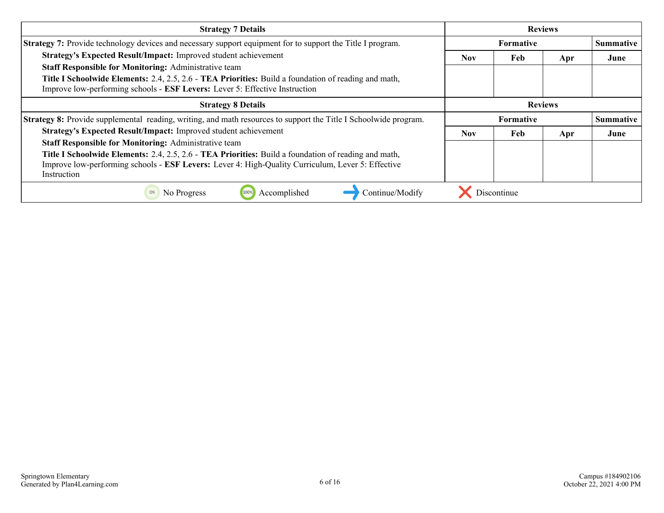| <b>Strategy 7 Details</b>                                                                                               | <b>Reviews</b>   |     |     |                  |
|-------------------------------------------------------------------------------------------------------------------------|------------------|-----|-----|------------------|
| <b>Strategy 7:</b> Provide technology devices and necessary support equipment for to support the Title I program.       | <b>Formative</b> |     |     | <b>Summative</b> |
| Strategy's Expected Result/Impact: Improved student achievement                                                         | <b>Nov</b>       | Feb | Apr | June             |
| <b>Staff Responsible for Monitoring: Administrative team</b>                                                            |                  |     |     |                  |
| Title I Schoolwide Elements: 2.4, 2.5, 2.6 - TEA Priorities: Build a foundation of reading and math,                    |                  |     |     |                  |
| Improve low-performing schools - ESF Levers: Lever 5: Effective Instruction                                             |                  |     |     |                  |
| <b>Strategy 8 Details</b>                                                                                               | <b>Reviews</b>   |     |     |                  |
|                                                                                                                         | <b>Formative</b> |     |     | <b>Summative</b> |
| <b>Strategy 8:</b> Provide supplemental reading, writing, and math resources to support the Title I Schoolwide program. |                  |     |     |                  |
| Strategy's Expected Result/Impact: Improved student achievement                                                         | Nov.             | Feb | Apr | June             |
| <b>Staff Responsible for Monitoring: Administrative team</b>                                                            |                  |     |     |                  |
| <b>Title I Schoolwide Elements:</b> 2.4, 2.5, 2.6 - <b>TEA Priorities:</b> Build a foundation of reading and math,      |                  |     |     |                  |
| Improve low-performing schools - ESF Levers: Lever 4: High-Quality Curriculum, Lever 5: Effective                       |                  |     |     |                  |
| Instruction                                                                                                             |                  |     |     |                  |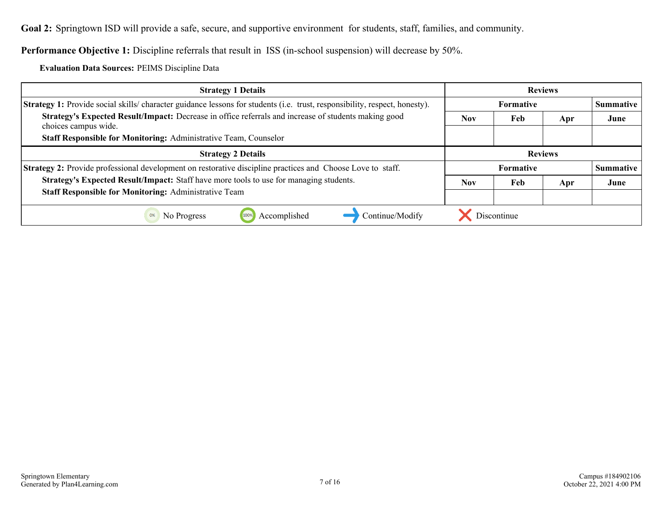<span id="page-6-0"></span>**Goal 2:** Springtown ISD will provide a safe, secure, and supportive environment for students, staff, families, and community.

**Performance Objective 1:** Discipline referrals that result in ISS (in-school suspension) will decrease by 50%.

**Evaluation Data Sources:** PEIMS Discipline Data

| <b>Strategy 1 Details</b>                                                                                                        | <b>Reviews</b>   |                  |     |                  |
|----------------------------------------------------------------------------------------------------------------------------------|------------------|------------------|-----|------------------|
| <b>Strategy 1:</b> Provide social skills/character guidance lessons for students (i.e. trust, responsibility, respect, honesty). | <b>Formative</b> |                  |     | <b>Summative</b> |
| Strategy's Expected Result/Impact: Decrease in office referrals and increase of students making good<br>choices campus wide.     | <b>Nov</b>       | Feb              | Apr | June             |
| Staff Responsible for Monitoring: Administrative Team, Counselor                                                                 |                  |                  |     |                  |
| <b>Strategy 2 Details</b>                                                                                                        | <b>Reviews</b>   |                  |     |                  |
| Strategy 2: Provide professional development on restorative discipline practices and Choose Love to staff.                       |                  | <b>Formative</b> |     | <b>Summative</b> |
| Strategy's Expected Result/Impact: Staff have more tools to use for managing students.                                           | <b>Nov</b>       | Feb              | Apr | June             |
| <b>Staff Responsible for Monitoring: Administrative Team</b>                                                                     |                  |                  |     |                  |
| Continue/Modify<br>Accomplished<br>No Progress                                                                                   |                  | Discontinue      |     |                  |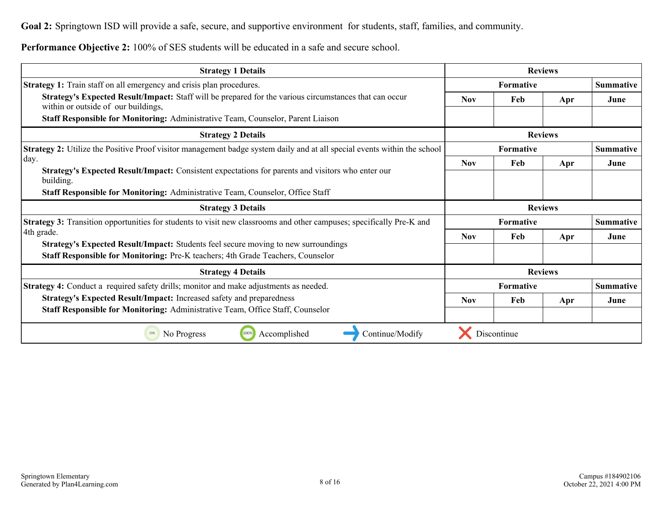**Goal 2:** Springtown ISD will provide a safe, secure, and supportive environment for students, staff, families, and community.

**Performance Objective 2:** 100% of SES students will be educated in a safe and secure school.

| <b>Strategy 1 Details</b>                                                                                                                                             | <b>Reviews</b>   |                  |                |                  |
|-----------------------------------------------------------------------------------------------------------------------------------------------------------------------|------------------|------------------|----------------|------------------|
| <b>Strategy 1:</b> Train staff on all emergency and crisis plan procedures.                                                                                           | <b>Formative</b> |                  |                | <b>Summative</b> |
| Strategy's Expected Result/Impact: Staff will be prepared for the various circumstances that can occur<br>within or outside of our buildings,                         | <b>Nov</b>       | Feb              | Apr            | June             |
| Staff Responsible for Monitoring: Administrative Team, Counselor, Parent Liaison                                                                                      |                  |                  |                |                  |
| <b>Strategy 2 Details</b>                                                                                                                                             | <b>Reviews</b>   |                  |                |                  |
| <b>Strategy 2:</b> Utilize the Positive Proof visitor management badge system daily and at all special events within the school                                       | Formative        |                  |                | <b>Summative</b> |
| day.                                                                                                                                                                  | <b>Nov</b>       | Feb              | Apr            | June             |
| Strategy's Expected Result/Impact: Consistent expectations for parents and visitors who enter our<br>building.                                                        |                  |                  |                |                  |
| <b>Staff Responsible for Monitoring: Administrative Team, Counselor, Office Staff</b>                                                                                 |                  |                  |                |                  |
| <b>Strategy 3 Details</b>                                                                                                                                             |                  | <b>Reviews</b>   |                |                  |
| Strategy 3: Transition opportunities for students to visit new classrooms and other campuses; specifically Pre-K and                                                  |                  | Formative        |                | <b>Summative</b> |
| 4th grade.                                                                                                                                                            | <b>Nov</b>       | Feb              | Apr            | June             |
| Strategy's Expected Result/Impact: Students feel secure moving to new surroundings<br>Staff Responsible for Monitoring: Pre-K teachers; 4th Grade Teachers, Counselor |                  |                  |                |                  |
| <b>Strategy 4 Details</b>                                                                                                                                             |                  |                  | <b>Reviews</b> |                  |
| <b>Strategy 4:</b> Conduct a required safety drills; monitor and make adjustments as needed.                                                                          |                  | <b>Formative</b> |                | <b>Summative</b> |
| Strategy's Expected Result/Impact: Increased safety and preparedness                                                                                                  | <b>Nov</b>       | Feb              | Apr            | June             |
| Staff Responsible for Monitoring: Administrative Team, Office Staff, Counselor                                                                                        |                  |                  |                |                  |
| Accomplished<br>Continue/Modify<br>No Progress<br>100%                                                                                                                |                  | Discontinue      |                |                  |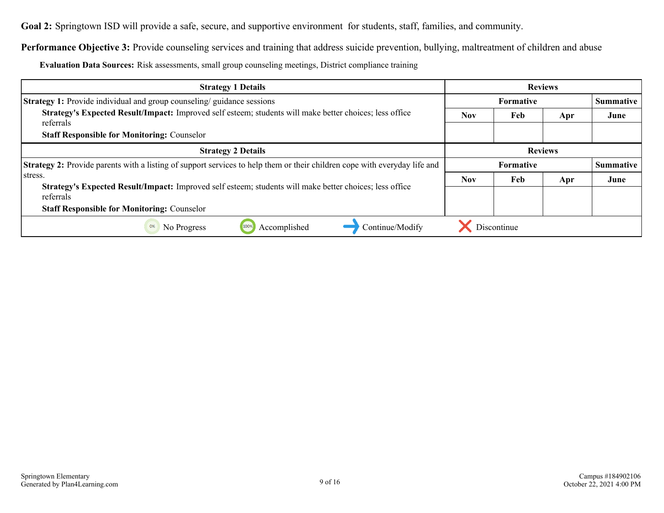**Goal 2:** Springtown ISD will provide a safe, secure, and supportive environment for students, staff, families, and community.

Performance Objective 3: Provide counseling services and training that address suicide prevention, bullying, maltreatment of children and abuse

**Evaluation Data Sources:** Risk assessments, small group counseling meetings, District compliance training

| <b>Strategy 1 Details</b>                                                                                                        | <b>Reviews</b>   |             |     |                  |
|----------------------------------------------------------------------------------------------------------------------------------|------------------|-------------|-----|------------------|
| <b>Strategy 1:</b> Provide individual and group counseling/guidance sessions                                                     | <b>Formative</b> |             |     | Summative        |
| Strategy's Expected Result/Impact: Improved self esteem; students will make better choices; less office<br>referrals             | <b>Nov</b>       | Feb         | Apr | June             |
| <b>Staff Responsible for Monitoring: Counselor</b>                                                                               |                  |             |     |                  |
| <b>Strategy 2 Details</b>                                                                                                        | <b>Reviews</b>   |             |     |                  |
| <b>Strategy 2:</b> Provide parents with a listing of support services to help them or their children cope with everyday life and | <b>Formative</b> |             |     | <b>Summative</b> |
| stress.                                                                                                                          | <b>Nov</b>       | Feb         | Apr | June             |
| Strategy's Expected Result/Impact: Improved self esteem; students will make better choices; less office<br>referrals             |                  |             |     |                  |
| <b>Staff Responsible for Monitoring: Counselor</b>                                                                               |                  |             |     |                  |
| Accomplished<br>Continue/Modify<br>No Progress<br>0%                                                                             |                  | Discontinue |     |                  |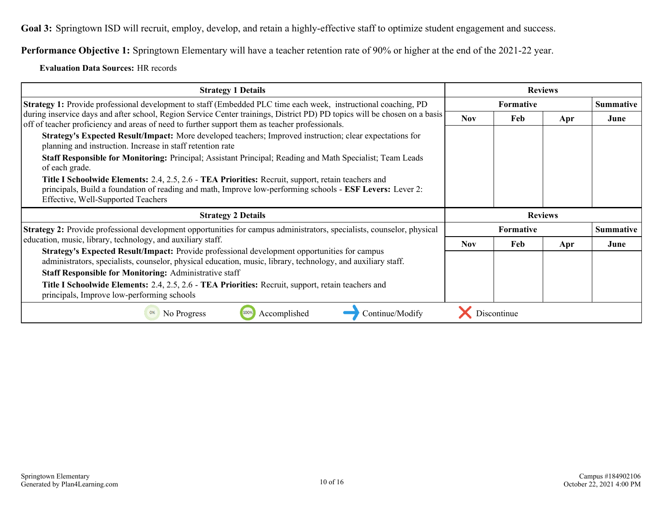<span id="page-9-0"></span>**Goal 3:** Springtown ISD will recruit, employ, develop, and retain a highly-effective staff to optimize student engagement and success.

**Performance Objective 1:** Springtown Elementary will have a teacher retention rate of 90% or higher at the end of the 2021-22 year.

#### **Evaluation Data Sources:** HR records

| <b>Strategy 1 Details</b>                                                                                                                                                                                                                             | <b>Reviews</b>   |             |                |                  |
|-------------------------------------------------------------------------------------------------------------------------------------------------------------------------------------------------------------------------------------------------------|------------------|-------------|----------------|------------------|
| <b>Strategy 1:</b> Provide professional development to staff (Embedded PLC time each week, instructional coaching, PD)                                                                                                                                | <b>Formative</b> |             |                | <b>Summative</b> |
| during inservice days and after school, Region Service Center trainings, District PD) PD topics will be chosen on a basis<br>off of teacher proficiency and areas of need to further support them as teacher professionals.                           | <b>Nov</b>       | Feb         | Apr            | June             |
| Strategy's Expected Result/Impact: More developed teachers; Improved instruction; clear expectations for<br>planning and instruction. Increase in staff retention rate                                                                                |                  |             |                |                  |
| Staff Responsible for Monitoring: Principal; Assistant Principal; Reading and Math Specialist; Team Leads<br>of each grade.                                                                                                                           |                  |             |                |                  |
| Title I Schoolwide Elements: 2.4, 2.5, 2.6 - TEA Priorities: Recruit, support, retain teachers and<br>principals, Build a foundation of reading and math, Improve low-performing schools - ESF Levers: Lever 2:<br>Effective, Well-Supported Teachers |                  |             |                |                  |
| <b>Strategy 2 Details</b>                                                                                                                                                                                                                             |                  |             | <b>Reviews</b> |                  |
| Strategy 2: Provide professional development opportunities for campus administrators, specialists, counselor, physical                                                                                                                                |                  | Formative   |                | <b>Summative</b> |
| education, music, library, technology, and auxiliary staff.                                                                                                                                                                                           | <b>Nov</b>       | Feb         | Apr            | June             |
| <b>Strategy's Expected Result/Impact:</b> Provide professional development opportunities for campus<br>administrators, specialists, counselor, physical education, music, library, technology, and auxiliary staff.                                   |                  |             |                |                  |
| <b>Staff Responsible for Monitoring: Administrative staff</b>                                                                                                                                                                                         |                  |             |                |                  |
| Title I Schoolwide Elements: 2.4, 2.5, 2.6 - TEA Priorities: Recruit, support, retain teachers and<br>principals, Improve low-performing schools                                                                                                      |                  |             |                |                  |
| Accomplished<br>Continue/Modify<br>No Progress                                                                                                                                                                                                        |                  | Discontinue |                |                  |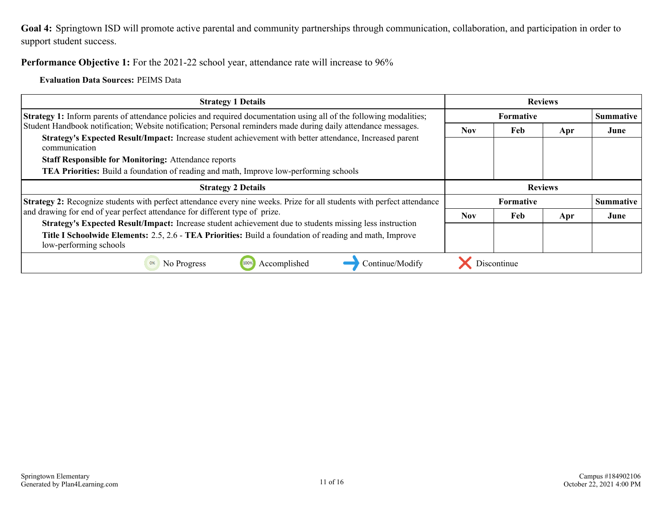<span id="page-10-0"></span>**Goal 4:** Springtown ISD will promote active parental and community partnerships through communication, collaboration, and participation in order to support student success.

Performance Objective 1: For the 2021-22 school year, attendance rate will increase to 96%

**Evaluation Data Sources:** PEIMS Data

| <b>Strategy 1 Details</b>                                                                                                 | <b>Reviews</b>   |             |     |                  |
|---------------------------------------------------------------------------------------------------------------------------|------------------|-------------|-----|------------------|
| Strategy 1: Inform parents of attendance policies and required documentation using all of the following modalities;       | <b>Formative</b> |             |     | <b>Summative</b> |
| Student Handbook notification; Website notification; Personal reminders made during daily attendance messages.            | <b>Nov</b>       | Feb         | Apr | June             |
| Strategy's Expected Result/Impact: Increase student achievement with better attendance, Increased parent<br>communication |                  |             |     |                  |
| <b>Staff Responsible for Monitoring: Attendance reports</b>                                                               |                  |             |     |                  |
| <b>TEA Priorities:</b> Build a foundation of reading and math, Improve low-performing schools                             |                  |             |     |                  |
| <b>Strategy 2 Details</b>                                                                                                 | <b>Reviews</b>   |             |     |                  |
| Strategy 2: Recognize students with perfect attendance every nine weeks. Prize for all students with perfect attendance   | <b>Formative</b> |             |     | <b>Summative</b> |
| and drawing for end of year perfect attendance for different type of prize.                                               | <b>Nov</b>       | Feb         | Apr | June             |
| Strategy's Expected Result/Impact: Increase student achievement due to students missing less instruction                  |                  |             |     |                  |
| Title I Schoolwide Elements: 2.5, 2.6 - TEA Priorities: Build a foundation of reading and math, Improve                   |                  |             |     |                  |
| low-performing schools                                                                                                    |                  |             |     |                  |
| Accomplished<br>Continue/Modify<br>No Progress<br>0%                                                                      |                  | Discontinue |     |                  |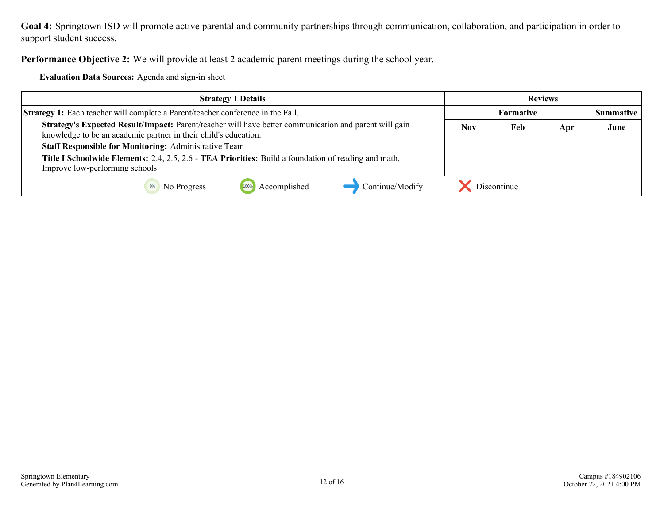**Goal 4:** Springtown ISD will promote active parental and community partnerships through communication, collaboration, and participation in order to support student success.

**Performance Objective 2:** We will provide at least 2 academic parent meetings during the school year.

**Evaluation Data Sources:** Agenda and sign-in sheet

| <b>Strategy 1 Details</b>                                                                                                                                                | <b>Reviews</b>   |             |     |           |
|--------------------------------------------------------------------------------------------------------------------------------------------------------------------------|------------------|-------------|-----|-----------|
| <b>Strategy 1:</b> Each teacher will complete a Parent/teacher conference in the Fall.                                                                                   | <b>Formative</b> |             |     | Summative |
| Strategy's Expected Result/Impact: Parent/teacher will have better communication and parent will gain<br>knowledge to be an academic partner in their child's education. | <b>Nov</b>       | Feb         | Apr | June      |
| <b>Staff Responsible for Monitoring: Administrative Team</b>                                                                                                             |                  |             |     |           |
| Title I Schoolwide Elements: 2.4, 2.5, 2.6 - TEA Priorities: Build a foundation of reading and math,<br>Improve low-performing schools                                   |                  |             |     |           |
| Continue/Modify<br>Accomplished<br>No Progress                                                                                                                           |                  | Discontinue |     |           |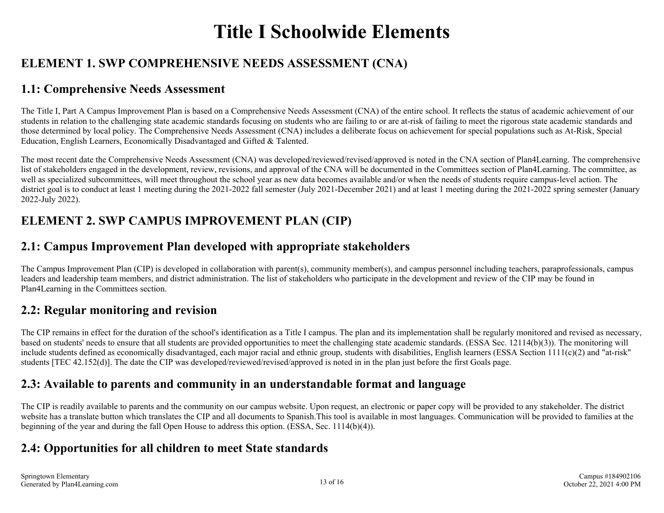# **Title I Schoolwide Elements**

#### <span id="page-12-0"></span>**ELEMENT 1. SWP COMPREHENSIVE NEEDS ASSESSMENT (CNA)**

#### **1.1: Comprehensive Needs Assessment**

The Title I, Part A Campus Improvement Plan is based on a Comprehensive Needs Assessment (CNA) of the entire school. It reflects the status of academic achievement of our students in relation to the challenging state academic standards focusing on students who are failing to or are at-risk of failing to meet the rigorous state academic standards and those determined by local policy. The Comprehensive Needs Assessment (CNA) includes a deliberate focus on achievement for special populations such as At-Risk, Special Education, English Learners, Economically Disadvantaged and Gifted & Talented.

The most recent date the Comprehensive Needs Assessment (CNA) was developed/reviewed/revised/approved is noted in the CNA section of Plan4Learning. The comprehensive list of stakeholders engaged in the development, review, revisions, and approval of the CNA will be documented in the Committees section of Plan4Learning. The committee, as well as specialized subcommittees, will meet throughout the school year as new data becomes available and/or when the needs of students require campus-level action. The district goal is to conduct at least 1 meeting during the 2021-2022 fall semester (July 2021-December 2021) and at least 1 meeting during the 2021-2022 spring semester (January 2022-July 2022).

### **ELEMENT 2. SWP CAMPUS IMPROVEMENT PLAN (CIP)**

#### **2.1: Campus Improvement Plan developed with appropriate stakeholders**

The Campus Improvement Plan (CIP) is developed in collaboration with parent(s), community member(s), and campus personnel including teachers, paraprofessionals, campus leaders and leadership team members, and district administration. The list of stakeholders who participate in the development and review of the CIP may be found in Plan4Learning in the Committees section.

#### **2.2: Regular monitoring and revision**

The CIP remains in effect for the duration of the school's identification as a Title I campus. The plan and its implementation shall be regularly monitored and revised as necessary, based on students' needs to ensure that all students are provided opportunities to meet the challenging state academic standards. (ESSA Sec. 12114(b)(3)). The monitoring will include students defined as economically disadvantaged, each major racial and ethnic group, students with disabilities, English learners (ESSA Section 1111(c)(2) and "at-risk" students [TEC 42.152(d)]. The date the CIP was developed/reviewed/revised/approved is noted in in the plan just before the first Goals page.

#### **2.3: Available to parents and community in an understandable format and language**

The CIP is readily available to parents and the community on our campus website. Upon request, an electronic or paper copy will be provided to any stakeholder. The district website has a translate button which translates the CIP and all documents to Spanish.This tool is available in most languages. Communication will be provided to families at the beginning of the year and during the fall Open House to address this option. (ESSA, Sec. 1114(b)(4)).

#### **2.4: Opportunities for all children to meet State standards**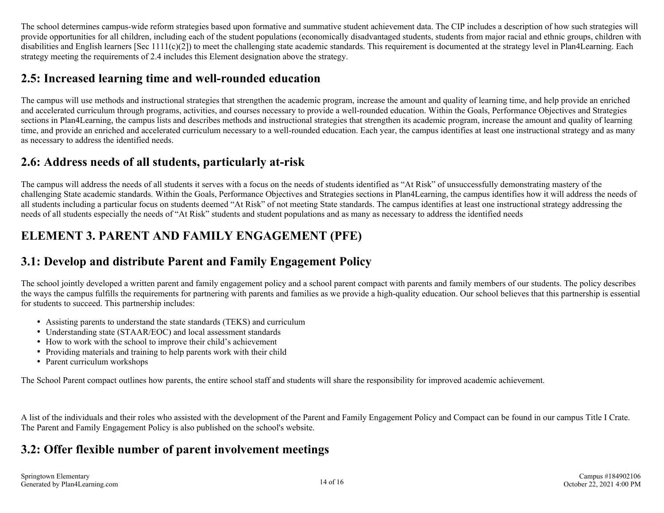<span id="page-13-0"></span>The school determines campus-wide reform strategies based upon formative and summative student achievement data. The CIP includes a description of how such strategies will provide opportunities for all children, including each of the student populations (economically disadvantaged students, students from major racial and ethnic groups, children with disabilities and English learners [Sec 1111(c)(2]) to meet the challenging state academic standards. This requirement is documented at the strategy level in Plan4Learning. Each strategy meeting the requirements of 2.4 includes this Element designation above the strategy.

#### **2.5: Increased learning time and well-rounded education**

The campus will use methods and instructional strategies that strengthen the academic program, increase the amount and quality of learning time, and help provide an enriched and accelerated curriculum through programs, activities, and courses necessary to provide a well-rounded education. Within the Goals, Performance Objectives and Strategies sections in Plan4Learning, the campus lists and describes methods and instructional strategies that strengthen its academic program, increase the amount and quality of learning time, and provide an enriched and accelerated curriculum necessary to a well-rounded education. Each year, the campus identifies at least one instructional strategy and as many as necessary to address the identified needs.

#### **2.6: Address needs of all students, particularly at-risk**

The campus will address the needs of all students it serves with a focus on the needs of students identified as "At Risk" of unsuccessfully demonstrating mastery of the challenging State academic standards. Within the Goals, Performance Objectives and Strategies sections in Plan4Learning, the campus identifies how it will address the needs of all students including a particular focus on students deemed "At Risk" of not meeting State standards. The campus identifies at least one instructional strategy addressing the needs of all students especially the needs of "At Risk" students and student populations and as many as necessary to address the identified needs

#### **ELEMENT 3. PARENT AND FAMILY ENGAGEMENT (PFE)**

#### **3.1: Develop and distribute Parent and Family Engagement Policy**

The school jointly developed a written parent and family engagement policy and a school parent compact with parents and family members of our students. The policy describes the ways the campus fulfills the requirements for partnering with parents and families as we provide a high-quality education. Our school believes that this partnership is essential for students to succeed. This partnership includes:

- Assisting parents to understand the state standards (TEKS) and curriculum
- Understanding state (STAAR/EOC) and local assessment standards
- How to work with the school to improve their child's achievement
- Providing materials and training to help parents work with their child
- Parent curriculum workshops

The School Parent compact outlines how parents, the entire school staff and students will share the responsibility for improved academic achievement.

A list of the individuals and their roles who assisted with the development of the Parent and Family Engagement Policy and Compact can be found in our campus Title I Crate. The Parent and Family Engagement Policy is also published on the school's website.

#### **3.2: Offer flexible number of parent involvement meetings**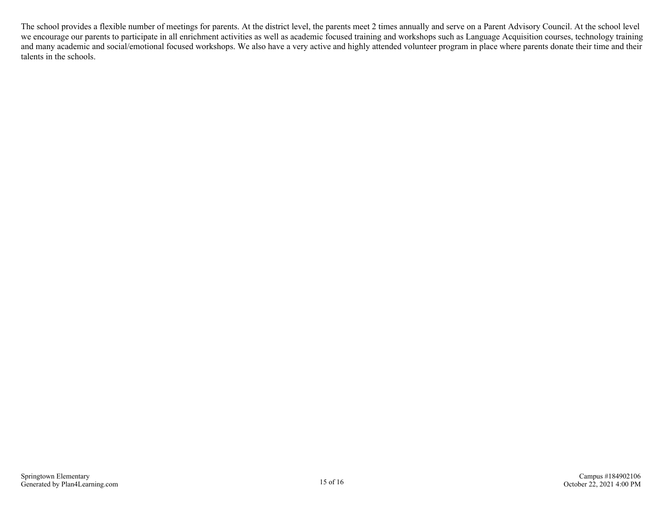The school provides a flexible number of meetings for parents. At the district level, the parents meet 2 times annually and serve on a Parent Advisory Council. At the school level we encourage our parents to participate in all enrichment activities as well as academic focused training and workshops such as Language Acquisition courses, technology training and many academic and social/emotional focused workshops. We also have a very active and highly attended volunteer program in place where parents donate their time and their talents in the schools.